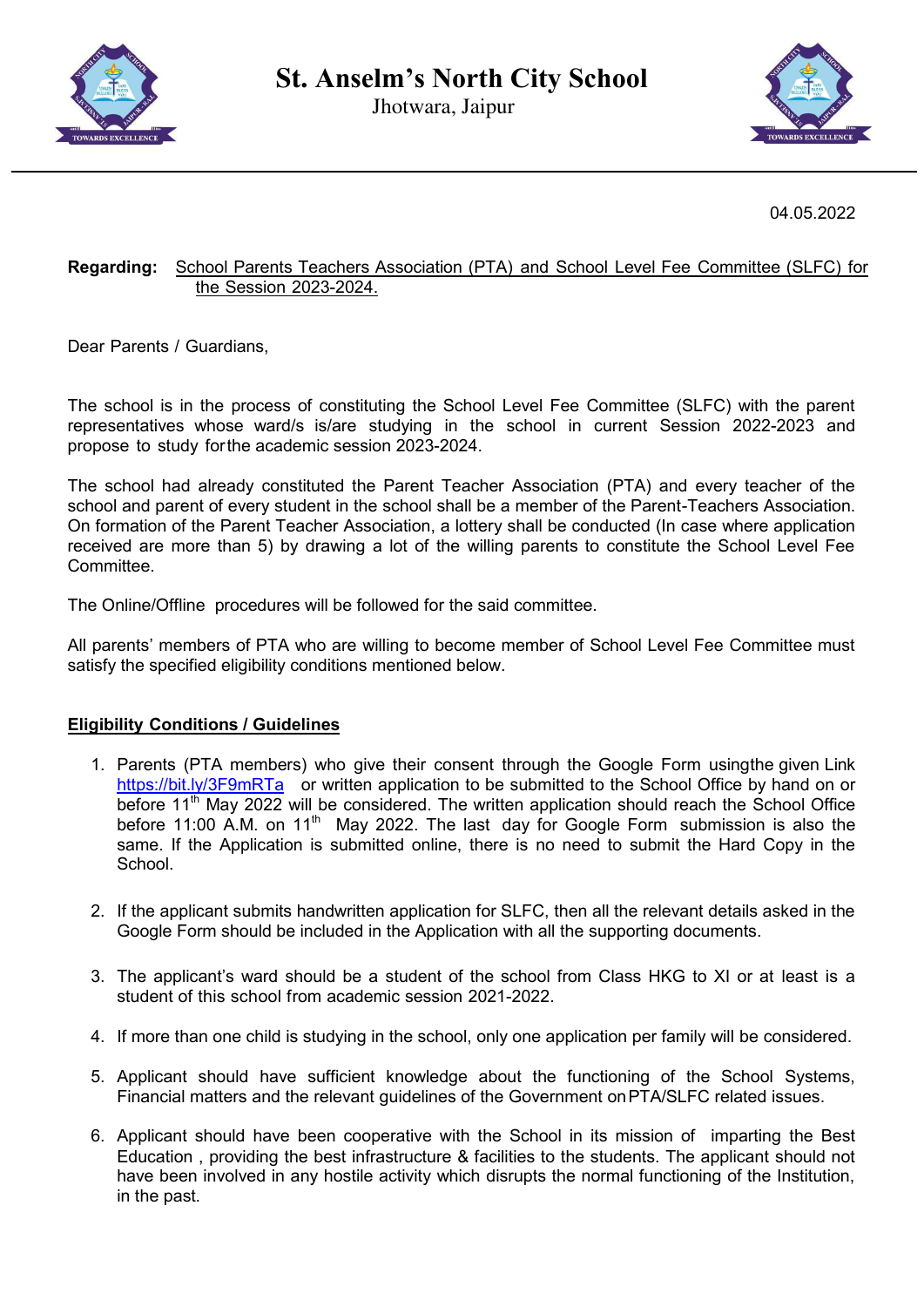

Jhotwara, Jaipur



04.05.2022

## **Regarding:** School Parents Teachers Association (PTA) and School Level Fee Committee (SLFC) for the Session 2023-2024.

Dear Parents / Guardians,

The school is in the process of constituting the School Level Fee Committee (SLFC) with the parent representatives whose ward/s is/are studying in the school in current Session 2022-2023 and propose to study for the academic session 2023-2024.

The school had already constituted the Parent Teacher Association (PTA) and every teacher of the school and parent of every student in the school shall be a member of the Parent-Teachers Association. On formation of the Parent Teacher Association, a lottery shall be conducted (In case where application received are more than 5) by drawing a lot of the willing parents to constitute the School Level Fee Committee.

The Online/Offline procedures will be followed for the said committee.

All parents' members of PTA who are willing to become member of School Level Fee Committee must satisfy the specified eligibility conditions mentioned below.

## **Eligibility Conditions / Guidelines**

- 1. Parents (PTA members) who give their consent through the Google Form using the given Link <https://bit.ly/3F9mRTa>or written application to be submitted to the School Office by hand on or before  $11<sup>th</sup>$  May 2022 will be considered. The written application should reach the School Office before 11:00 A.M. on 11<sup>th</sup> May 2022. The last day for Google Form submission is also the same. If the Application is submitted online, there is no need to submit the Hard Copy in the School.
- 2. If the applicant submits handwritten application for SLFC, then all the relevant details asked in the Google Form should be included in the Application with all the supporting documents.
- 3. The applicant's ward should be a student of the school from Class HKG to XI or at least is a student of this school from academic session 2021-2022.
- 4. If more than one child is studying in the school, only one application per family will be considered.
- 5. Applicant should have sufficient knowledge about the functioning of the School Systems, Financial matters and the relevant guidelines of the Government on PTA/SLFC related issues.
- 6. Applicant should have been cooperative with the School in its mission of imparting the Best Education , providing the best infrastructure & facilities to the students. The applicant should not have been involved in any hostile activity which disrupts the normal functioning of the Institution, in the past.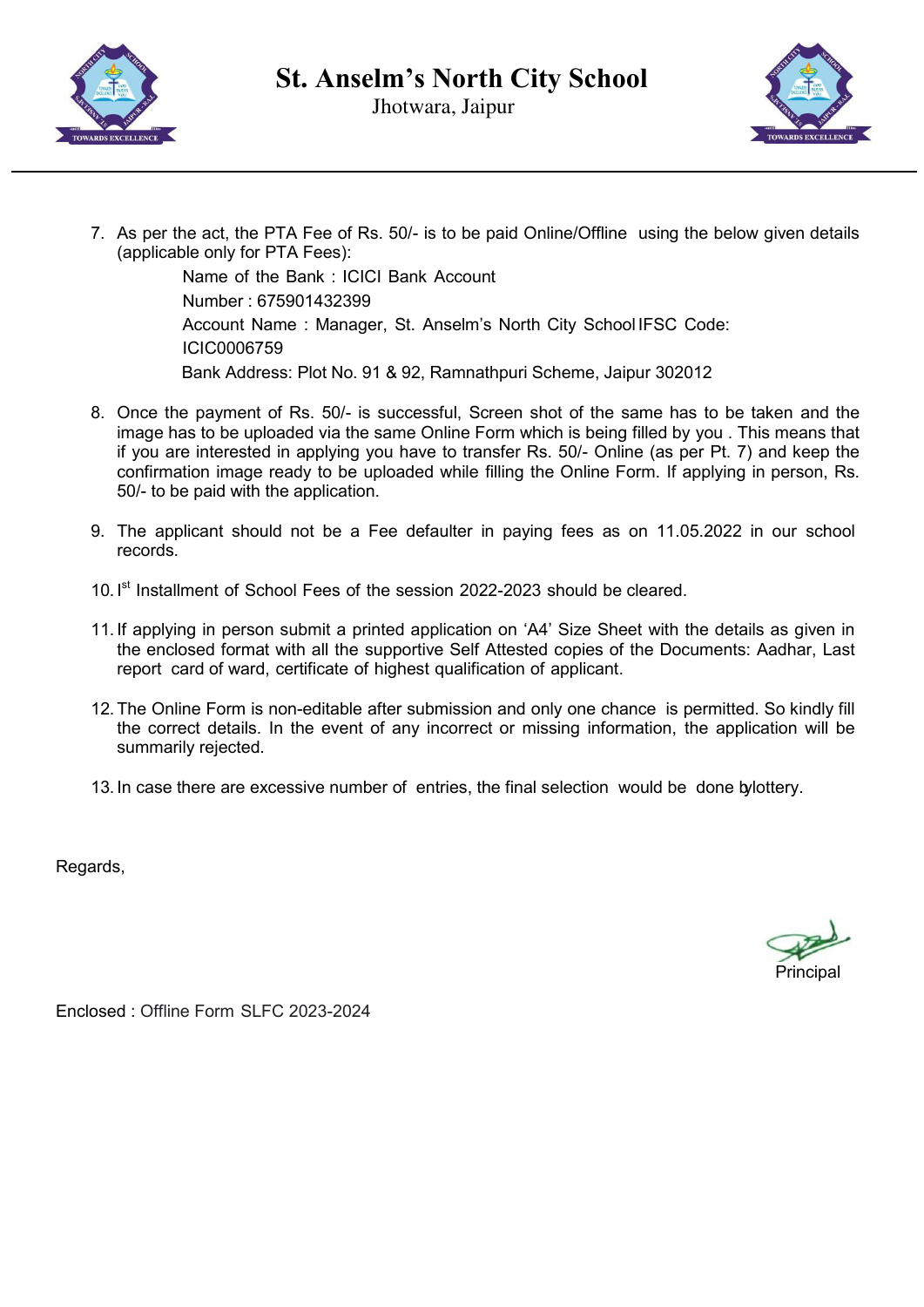



7. As per the act, the PTA Fee of Rs. 50/- is to be paid Online/Offline using the below given details (applicable only for PTA Fees):

> Name of the Bank : ICICI Bank Account Number : 675901432399 Account Name : Manager, St. Anselm's North City School IFSC Code: ICIC0006759 Bank Address: Plot No. 91 & 92, Ramnathpuri Scheme, Jaipur 302012

- 8. Once the payment of Rs. 50/- is successful, Screen shot of the same has to be taken and the image has to be uploaded via the same Online Form which is being filled by you . This means that if you are interested in applying you have to transfer Rs. 50/- Online (as per Pt. 7) and keep the confirmation image ready to be uploaded while filling the Online Form. If applying in person, Rs. 50/- to be paid with the application.
- 9. The applicant should not be a Fee defaulter in paying fees as on 11.05.2022 in our school records.
- 10. I<sup>st</sup> Installment of School Fees of the session 2022-2023 should be cleared.
- 11. If applying in person submit a printed application on 'A4' Size Sheet with the details as given in the enclosed format with all the supportive Self Attested copies of the Documents: Aadhar, Last report card of ward, certificate of highest qualification of applicant.
- 12. The Online Form is non-editable after submission and only one chance is permitted. So kindly fill the correct details. In the event of any incorrect or missing information, the application will be summarily rejected.
- 13. In case there are excessive number of entries, the final selection would be done bylottery.

Regards,

**Principal** 

Enclosed : Offline Form SLFC 2023-2024